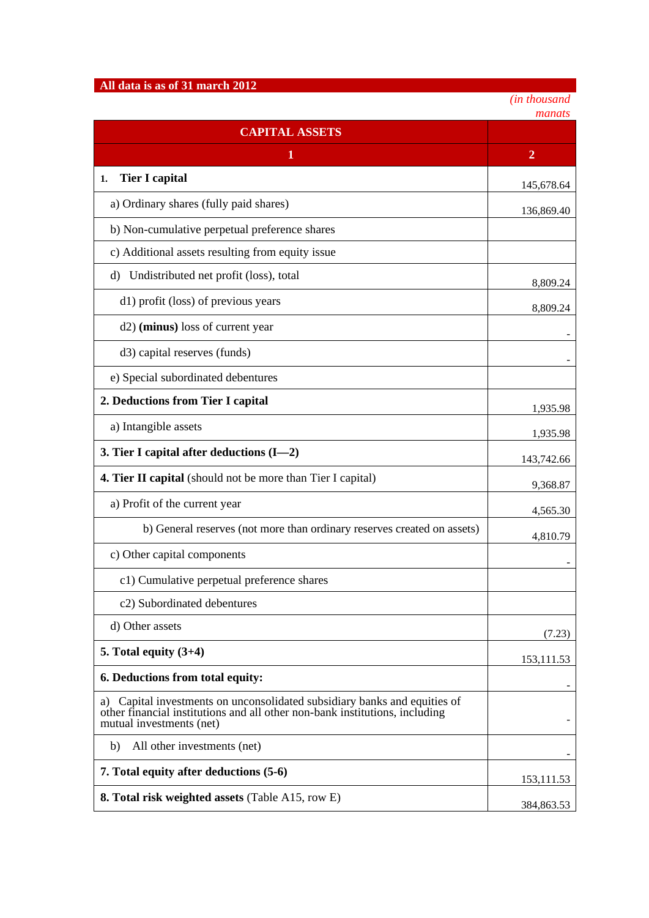## **All data is as of 31 march 2012**

*(in thousand*

|                                                                                                                                                                                         | manats         |
|-----------------------------------------------------------------------------------------------------------------------------------------------------------------------------------------|----------------|
| <b>CAPITAL ASSETS</b>                                                                                                                                                                   |                |
| 1                                                                                                                                                                                       | $\overline{2}$ |
| <b>Tier I capital</b><br>1.                                                                                                                                                             | 145,678.64     |
| a) Ordinary shares (fully paid shares)                                                                                                                                                  | 136,869.40     |
| b) Non-cumulative perpetual preference shares                                                                                                                                           |                |
| c) Additional assets resulting from equity issue                                                                                                                                        |                |
| Undistributed net profit (loss), total<br>d)                                                                                                                                            | 8,809.24       |
| d1) profit (loss) of previous years                                                                                                                                                     | 8,809.24       |
| d2) (minus) loss of current year                                                                                                                                                        |                |
| d3) capital reserves (funds)                                                                                                                                                            |                |
| e) Special subordinated debentures                                                                                                                                                      |                |
| 2. Deductions from Tier I capital                                                                                                                                                       | 1,935.98       |
| a) Intangible assets                                                                                                                                                                    | 1,935.98       |
| 3. Tier I capital after deductions $(I-2)$                                                                                                                                              | 143,742.66     |
| <b>4. Tier II capital</b> (should not be more than Tier I capital)                                                                                                                      | 9,368.87       |
| a) Profit of the current year                                                                                                                                                           | 4,565.30       |
| b) General reserves (not more than ordinary reserves created on assets)                                                                                                                 | 4,810.79       |
| c) Other capital components                                                                                                                                                             |                |
| c1) Cumulative perpetual preference shares                                                                                                                                              |                |
| c2) Subordinated debentures                                                                                                                                                             |                |
| d) Other assets                                                                                                                                                                         | (7.23)         |
| 5. Total equity $(3+4)$                                                                                                                                                                 | 153, 111.53    |
| 6. Deductions from total equity:                                                                                                                                                        |                |
| Capital investments on unconsolidated subsidiary banks and equities of<br>a)<br>other financial institutions and all other non-bank institutions, including<br>mutual investments (net) |                |
| b)<br>All other investments (net)                                                                                                                                                       |                |
| 7. Total equity after deductions (5-6)                                                                                                                                                  | 153, 111.53    |
| <b>8. Total risk weighted assets (Table A15, row E)</b>                                                                                                                                 | 384,863.53     |
|                                                                                                                                                                                         |                |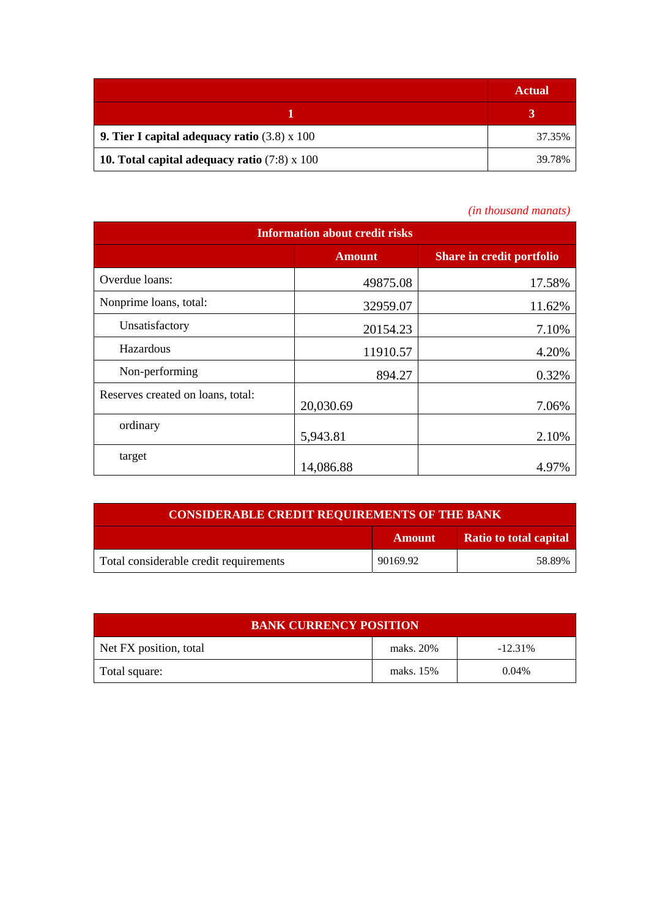|                                                            | <b>Actual</b> |
|------------------------------------------------------------|---------------|
|                                                            |               |
| <b>9. Tier I capital adequacy ratio</b> $(3.8) \times 100$ | 37.35%        |
| 10. Total capital adequacy ratio $(7.8) \times 100$        | 39.78%        |

## *(in thousand manats)*

| <b>Information about credit risks</b> |               |                                  |  |  |
|---------------------------------------|---------------|----------------------------------|--|--|
|                                       | <b>Amount</b> | <b>Share in credit portfolio</b> |  |  |
| Overdue loans:                        | 49875.08      | 17.58%                           |  |  |
| Nonprime loans, total:                | 32959.07      | 11.62%                           |  |  |
| Unsatisfactory                        | 20154.23      | 7.10%                            |  |  |
| Hazardous                             | 11910.57      | 4.20%                            |  |  |
| Non-performing                        | 894.27        | 0.32%                            |  |  |
| Reserves created on loans, total:     | 20,030.69     | 7.06%                            |  |  |
| ordinary                              | 5,943.81      | 2.10%                            |  |  |
| target                                | 14,086.88     | 4.97%                            |  |  |

| <b>CONSIDERABLE CREDIT REQUIREMENTS OF THE BANK</b> |               |                               |
|-----------------------------------------------------|---------------|-------------------------------|
|                                                     | <b>Amount</b> | <b>Ratio to total capital</b> |
| Total considerable credit requirements              | 90169.92      | 58.89%                        |

| <b>BANK CURRENCY POSITION</b> |           |            |  |
|-------------------------------|-----------|------------|--|
| Net FX position, total        | maks. 20% | $-12.31\%$ |  |
| Total square:                 | maks. 15% | $0.04\%$   |  |